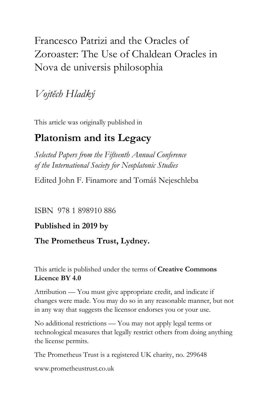# Francesco Patrizi and the Oracles of Zoroaster: The Use of Chaldean Oracles in Nova de universis philosophia

*Vojtěch Hladký*

This article was originally published in

## **Platonism and its Legacy**

*Selected Papers from the Fifteenth Annual Conference of the International Society for Neoplatonic Studies*

Edited John F. Finamore and Tomáš Nejeschleba

ISBN 978 1 898910 886

## **Published in 2019 by**

## **The Prometheus Trust, Lydney.**

This article is published under the terms of **Creative Commons Licence BY 4.0**

Attribution — You must give appropriate credit, and indicate if changes were made. You may do so in any reasonable manner, but not in any way that suggests the licensor endorses you or your use.

No additional restrictions — You may not apply legal terms or technological measures that legally restrict others from doing anything the license permits.

The Prometheus Trust is a registered UK charity, no. 299648

[www.prometheustrust.co.uk](http://www.prometheustrust.co.uk/)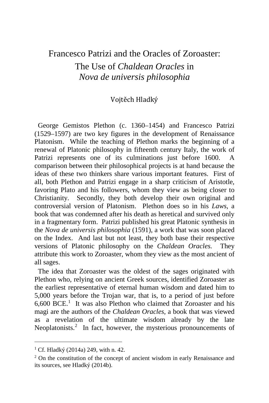## Francesco Patrizi and the Oracles of Zoroaster:

The Use of *Chaldean Oracles* in *Nova de universis philosophia*

#### Vojtěch Hladký

 George Gemistos Plethon (c. 1360–1454) and Francesco Patrizi (1529–1597) are two key figures in the development of Renaissance Platonism. While the teaching of Plethon marks the beginning of a renewal of Platonic philosophy in fifteenth century Italy, the work of Patrizi represents one of its culminations just before 1600. comparison between their philosophical projects is at hand because the ideas of these two thinkers share various important features. First of all, both Plethon and Patrizi engage in a sharp criticism of Aristotle, favoring Plato and his followers, whom they view as being closer to Christianity. Secondly, they both develop their own original and controversial version of Platonism. Plethon does so in his *Laws*, a book that was condemned after his death as heretical and survived only in a fragmentary form. Patrizi published his great Platonic synthesis in the *Nova de universis philosophia* (1591), a work that was soon placed on the Index. And last but not least, they both base their respective versions of Platonic philosophy on the *Chaldean Oracles.* They attribute this work to Zoroaster, whom they view as the most ancient of all sages.

 The idea that Zoroaster was the oldest of the sages originated with Plethon who, relying on ancient Greek sources, identified Zoroaster as the earliest representative of eternal human wisdom and dated him to 5,000 years before the Trojan war, that is, to a period of just before  $6,600$  BCE.<sup>[1](#page-1-0)</sup> It was also Plethon who claimed that Zoroaster and his magi are the authors of the *Chaldean Oracles*, a book that was viewed as a revelation of the ultimate wisdom already by the late Neoplatonists.<sup>[2](#page-1-1)</sup> In fact, however, the mysterious pronouncements of

<span id="page-1-0"></span><sup>&</sup>lt;sup>1</sup> Cf. Hladký (2014a) 249, with n. 42.

<span id="page-1-1"></span><sup>2</sup> On the constitution of the concept of ancient wisdom in early Renaissance and its sources, see Hladký (2014b).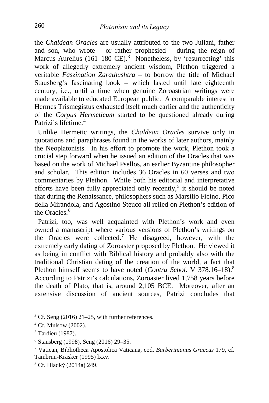the *Chaldean Oracles* are usually attributed to the two Juliani, father and son, who wrote – or rather prophesied – during the reign of Marcus Aurelius  $(161-180 \text{ CE})$ .<sup>[3](#page-2-0)</sup> Nonetheless, by 'resurrecting' this work of allegedly extremely ancient wisdom, Plethon triggered a veritable *Faszination Zarathushtra* – to borrow the title of Michael Stausberg's fascinating book – which lasted until late eighteenth century, i.e., until a time when genuine Zoroastrian writings were made available to educated European public. A comparable interest in Hermes Trismegistus exhausted itself much earlier and the authenticity of the *Corpus Hermeticum* started to be questioned already during Patrizi's lifetime.<sup>[4](#page-2-1)</sup>

 Unlike Hermetic writings, the *Chaldean Oracles* survive only in quotations and paraphrases found in the works of later authors, mainly the Neoplatonists. In his effort to promote the work, Plethon took a crucial step forward when he issued an edition of the Oracles that was based on the work of Michael Psellos, an earlier Byzantine philosopher and scholar. This edition includes 36 Oracles in 60 verses and two commentaries by Plethon. While both his editorial and interpretative efforts have been fully appreciated only recently,<sup>[5](#page-2-2)</sup> it should be noted that during the Renaissance, philosophers such as Marsilio Ficino, Pico della Mirandola, and Agostino Steuco all relied on Plethon's edition of the Oracles. $6$ 

 Patrizi, too, was well acquainted with Plethon's work and even owned a manuscript where various versions of Plethon's writings on the Oracles were collected.<sup>[7](#page-2-4)</sup> He disagreed, however, with the extremely early dating of Zoroaster proposed by Plethon. He viewed it as being in conflict with Biblical history and probably also with the traditional Christian dating of the creation of the world, a fact that Plethon himself seems to have noted (*Contra Schol.* V 37[8](#page-2-5).16–18).<sup>8</sup> According to Patrizi's calculations, Zoroaster lived 1,758 years before the death of Plato, that is, around 2,105 BCE. Moreover, after an extensive discussion of ancient sources, Patrizi concludes that

<span id="page-2-0"></span> $3$  Cf. Seng (2016) 21–25, with further references.

<span id="page-2-1"></span><sup>4</sup> Cf. Mulsow (2002).

<span id="page-2-2"></span><sup>5</sup> Tardieu (1987).

<span id="page-2-3"></span><sup>6</sup> Stausberg (1998), Seng (2016) 29–35.

<span id="page-2-4"></span><sup>7</sup> Vatican, Bibliotheca Apostolica Vaticana, cod. *Barberinianus Graecus* 179, cf. Tambrun-Krasker (1995) lxxv.

<span id="page-2-5"></span><sup>8</sup> Cf. Hladký (2014a) 249.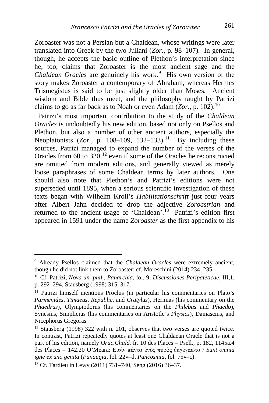Zoroaster was not a Persian but a Chaldean, whose writings were later translated into Greek by the two Juliani (*Zor.*, p. 98–107). In general, though, he accepts the basic outline of Plethon's interpretation since he, too, claims that Zoroaster is the most ancient sage and the Chaldean Oracles are genuinely his work.<sup>[9](#page-3-0)</sup> His own version of the story makes Zoroaster a contemporary of Abraham, whereas Hermes Trismegistus is said to be just slightly older than Moses. Ancient wisdom and Bible thus meet, and the philosophy taught by Patrizi claims to go as far back as to Noah or even Adam  $(Zor, p. 102)$  $(Zor, p. 102)$  $(Zor, p. 102)$ .<sup>10</sup>

 Patrizi's most important contribution to the study of the *Chaldean Oracles* is undoubtedly his new edition, based not only on Psellos and Plethon, but also a number of other ancient authors, especially the Neoplatonists  $(Zor, p. 108-109, 132-133).$ <sup>[11](#page-3-2)</sup> By including these sources, Patrizi managed to expand the number of the verses of the Oracles from 60 to  $320$ ,  $^{12}$  $^{12}$  $^{12}$  even if some of the Oracles he reconstructed are omitted from modern editions, and generally viewed as merely loose paraphrases of some Chaldean terms by later authors. One should also note that Plethon's and Patrizi's editions were not superseded until 1895, when a serious scientific investigation of these texts began with Wilhelm Kroll's *Habilitationschrift* just four years after Albert Jahn decided to drop the adjective *Zoroastrian* and returned to the ancient usage of 'Chaldean'.<sup>13</sup> Patrizi's edition first appeared in 1591 under the name *Zoroaster* as the first appendix to his

<span id="page-3-0"></span><sup>9</sup> Already Psellos claimed that the *Chaldean Oracles* were extremely ancient, though he did not link them to Zoroaster; cf. Moreschini (2014) 234–235.

<span id="page-3-1"></span><sup>10</sup> Cf. Patrizi, *Nova un. phil.*, *Panarchia*, fol. 9; *Discussiones Peripateticae*, III,1, p. 292–294, Stausberg (1998) 315–317.

<span id="page-3-2"></span><sup>&</sup>lt;sup>11</sup> Patrizi himself mentions Proclus (in particular his commentaries on Plato's *Parmenides*, *Timaeus*, *Republic*, and *Cratylus*), Hermias (his commentary on the *Phaedrus*), Olympiodorus (his commentaries on the *Philebus* and *Phaedo*), Synesius, Simplicius (his commentaries on Aristotle's *Physics*), Damascius, and Nicephorus Gregoras.

<span id="page-3-3"></span><sup>12</sup> Stausberg (1998) 322 with n. 201, observes that two verses are quoted twice. In contrast, Patrizi repeatedly quotes at least one Chaldaean Oracle that is not a part of his edition, namely *Orac.Chald.* fr. 10 des Places = Psell., p. 182, 1145a.4 des Places = 142.20 O'Meara: Εἰσὶν πάντα ἑνὸς πυρὸς ἐκγεγαῶτα / *Sunt omnia igne ex uno genita* (*Panaugia*, fol. 22v–d, *Pancosmia*, fol. 75v–c).

<span id="page-3-4"></span><sup>13</sup> Cf. Tardieu in Lewy (2011) 731–740, Seng (2016) 36–37.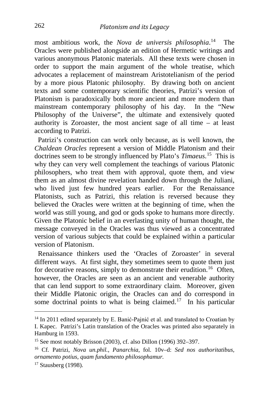most ambitious work, the *Nova de universis philosophia*. The Oracles were published alongside an edition of Hermetic writings and various anonymous Platonic materials. All these texts were chosen in order to support the main argument of the whole treatise, which advocates a replacement of mainstream Aristotelianism of the period by a more pious Platonic philosophy. By drawing both on ancient texts and some contemporary scientific theories, Patrizi's version of Platonism is paradoxically both more ancient and more modern than mainstream contemporary philosophy of his day. In the "New Philosophy of the Universe", the ultimate and extensively quoted authority is Zoroaster, the most ancient sage of all time – at least according to Patrizi.

 Patrizi's construction can work only because, as is well known, the *Chaldean Oracles* represent a version of Middle Platonism and their doctrines seem to be strongly influenced by Plato's *Timaeus*. [15](#page-4-1) This is why they can very well complement the teachings of various Platonic philosophers, who treat them with approval, quote them, and view them as an almost divine revelation handed down through the Juliani, who lived just few hundred years earlier. For the Renaissance Platonists, such as Patrizi, this relation is reversed because they believed the Oracles were written at the beginning of time, when the world was still young, and god or gods spoke to humans more directly. Given the Platonic belief in an everlasting unity of human thought, the message conveyed in the Oracles was thus viewed as a concentrated version of various subjects that could be explained within a particular version of Platonism.

 Renaissance thinkers used the 'Oracles of Zoroaster' in several different ways. At first sight, they sometimes seem to quote them just for decorative reasons, simply to demonstrate their erudition.<sup>16</sup> Often, however, the Oracles are seen as an ancient and venerable authority that can lend support to some extraordinary claim. Moreover, given their Middle Platonic origin, the Oracles can and do correspond in some doctrinal points to what is being claimed.<sup>[17](#page-4-3)</sup> In his particular

<span id="page-4-0"></span><sup>&</sup>lt;sup>14</sup> In 2011 edited separately by E. Banić-Pajnić et al. and translated to Croatian by I. Kapec. Patrizi's Latin translation of the Oracles was printed also separately in Hamburg in 1593.

<span id="page-4-1"></span><sup>15</sup> See most notably Brisson (2003), cf. also Dillon (1996) 392–397.

<span id="page-4-2"></span><sup>16</sup> Cf. Patrizi, *Nova un.phil.*, *Panarchia*, fol. 10v–d: *Sed nos authoritatibus, ornamento potius, quam fundamento philosophamur.*

<span id="page-4-3"></span><sup>17</sup> Stausberg (1998).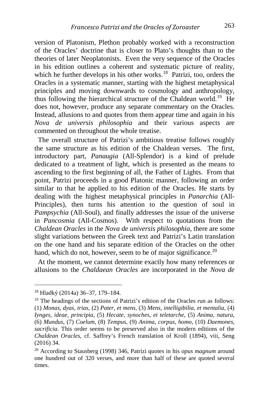version of Platonism, Plethon probably worked with a reconstruction of the Oracles' doctrine that is closer to Plato's thoughts than to the theories of later Neoplatonists. Even the very sequence of the Oracles in his edition outlines a coherent and systematic picture of reality, which he further develops in his other works.<sup>18</sup> Patrizi, too, orders the Oracles in a systematic manner, starting with the highest metaphysical principles and moving downwards to cosmology and anthropology, thus following the hierarchical structure of the Chaldean world.<sup>19</sup> He does not, however, produce any separate commentary on the Oracles. Instead, allusions to and quotes from them appear time and again in his *Nova de universis philosophia* and their various aspects are commented on throughout the whole treatise.

 The overall structure of Patrizi's ambitious treatise follows roughly the same structure as his edition of the Chaldean verses. The first, introductory part, *Panaugia* (All-Splendor) is a kind of prelude dedicated to a treatment of light, which is presented as the means to ascending to the first beginning of all, the Father of Lights. From that point, Patrizi proceeds in a good Platonic manner, following an order similar to that he applied to his edition of the Oracles. He starts by dealing with the highest metaphysical principles in *Panarchia* (All-Principles), then turns his attention to the question of soul in *Pampsychia* (All-Soul), and finally addresses the issue of the universe in *Pancosmia* (All-Cosmos). With respect to quotations from the *Chaldean Oracles* in the *Nova de universis philosophia*, there are some slight variations between the Greek text and Patrizi's Latin translation on the one hand and his separate edition of the Oracles on the other hand, which do not, however, seem to be of major significance.<sup>[20](#page-5-2)</sup>

 At the moment, we cannot determine exactly how many references or allusions to the *Chaldaean Oracles* are incorporated in the *Nova de* 

<span id="page-5-0"></span><sup>18</sup> Hladký (2014a) 36–37, 179–184.

<span id="page-5-1"></span><sup>&</sup>lt;sup>19</sup> The headings of the sections of Patrizi's edition of the Oracles run as follows: (1) *Monas, dyas, trias*, (2) *Pater, et mens*, (3) *Mens, intelligibilia, et mentalia*, (4) *Iynges, ideae, principia*, (5) *Hecate, synoches, et teletarche*, (5) *Anima, natura*, (6) *Mundus*, (7) *Coelum*, (8) *Tempus*, (9) *Anima, corpus, homo*, (10) *Daemones, sacrificia.* This order seems to be preserved also in the modern editions of the *Chaldean Oracles*, cf. Saffrey's French translation of Kroll (1894), viii, Seng (2016) 34.

<span id="page-5-2"></span><sup>20</sup> According to Stausberg (1998) 346, Patrizi quotes in his *opus magnum* around one hundred out of 320 verses, and more than half of these are quoted several times.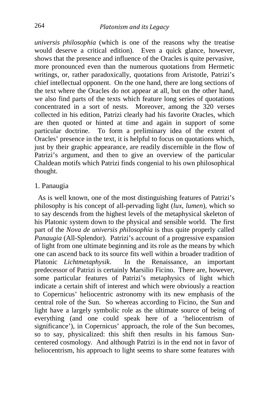*universis philosophia* (which is one of the reasons why the treatise would deserve a critical edition). Even a quick glance, however, shows that the presence and influence of the Oracles is quite pervasive, more pronounced even than the numerous quotations from Hermetic writings, or, rather paradoxically, quotations from Aristotle, Patrizi's chief intellectual opponent. On the one hand, there are long sections of the text where the Oracles do not appear at all, but on the other hand, we also find parts of the texts which feature long series of quotations concentrated in a sort of nests. Moreover, among the 320 verses collected in his edition, Patrizi clearly had his favorite Oracles, which are then quoted or hinted at time and again in support of some particular doctrine. To form a preliminary idea of the extent of Oracles' presence in the text, it is helpful to focus on quotations which, just by their graphic appearance, are readily discernible in the flow of Patrizi's argument, and then to give an overview of the particular Chaldean motifs which Patrizi finds congenial to his own philosophical thought.

#### 1. Panaugia

 As is well known, one of the most distinguishing features of Patrizi's philosophy is his concept of all-pervading light (*lux*, *lumen*), which so to say descends from the highest levels of the metaphysical skeleton of his Platonic system down to the physical and sensible world. The first part of the *Nova de universis philosophia* is thus quite properly called *Panaugia* (All-Splendor). Patrizi's account of a progressive expansion of light from one ultimate beginning and its role as the means by which one can ascend back to its source fits well within a broader tradition of Platonic *Lichtmetaphysik*. In the Renaissance, an important predecessor of Patrizi is certainly Marsilio Ficino. There are, however, some particular features of Patrizi's metaphysics of light which indicate a certain shift of interest and which were obviously a reaction to Copernicus' heliocentric astronomy with its new emphasis of the central role of the Sun. So whereas according to Ficino, the Sun and light have a largely symbolic role as the ultimate source of being of everything (and one could speak here of a 'heliocentrism of significance'), in Copernicus' approach, the role of the Sun becomes, so to say, physicalized: this shift then results in his famous Suncentered cosmology. And although Patrizi is in the end not in favor of heliocentrism, his approach to light seems to share some features with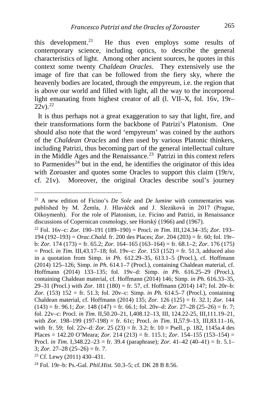this development.<sup>[21](#page-7-0)</sup> He thus even employs some results of contemporary science, including optics, to describe the general characteristics of light. Among other ancient sources, he quotes in this context some twenty *Chaldean Oracles*. They extensively use the image of fire that can be followed from the fiery sky, where the heavenly bodies are located, through the empyreum, i.e. the region that is above our world and filled with light, all the way to the incorporeal light emanating from highest creator of all (l. VII–X, fol. 16v, 19r–  $22v$ ).<sup>22</sup>

 It is thus perhaps not a great exaggeration to say that light, fire, and their transformations form the backbone of Patrizi's Platonism. One should also note that the word 'empyreum' was coined by the authors of the *Chaldean Oracles* and then used by various Platonic thinkers, including Patrizi, thus becoming part of the general intellectual culture in the Middle Ages and the Renaissance.<sup>23</sup> Patrizi in this context refers to Parmenides<sup>[24](#page-7-3)</sup> but in the end, he identifies the originator of this idea with Zoroaster and quotes some Oracles to support this claim (19r/v, cf. 21v). Moreover, the original Oracles describe soul's journey

<span id="page-7-1"></span><sup>22</sup> Fol. 16v–c: *Zor.* 190–191 (189–190) = Procl. *in Tim.* III,124.34–35; *Zor.* 193– 194 (192–193) = *Orac.Chald.* fr. 200 des Places; *Zor.* 204 (203) = fr. 60; fol. 19r– b: *Zor.* 174 (173) = fr. 65.2; *Zor.* 164–165 (163–164) = fr. 68.1–2; *Zor.* 176 (175) = Procl. *in Tim.* III,43.17–18; fol. 19v–c: *Zor.* 153 (152) = fr. 51.3, adduced also in a quotation from Simp. *in Ph.* 612.29–35, 613.1–5 (Procl.), cf. Hoffmann (2014) 125–126; Simp. *in Ph.* 614.1–7 (Procl.), containing Chaldean material, cf. Hoffmann (2014) 133–135; fol. 19v–d: Simp. *in Ph.* 616.25–29 (Procl.), containing Chaldean material, cf. Hoffmann (2014) 146; Simp. *in Ph.* 616.33–35, 29–31 (Procl.) with *Zor.* 181 (180) = fr. 57, cf. Hoffmann (2014) 147; fol. 20r–b: *Zor.* (153) 152 = fr. 51.3; fol. 20v–c: Simp. *in Ph.* 614.5–7 (Procl.), containing Chaldean material, cf. Hoffmann (2014) 135; *Zor.* 126 (125) = fr. 32.1; *Zor.* 144 (143) = fr. 96.1; *Zor.* 148 (147) = fr. 66.1; fol. 20v–d: *Zor.* 27–28 (25–26) = fr. 7; fol. 22v–c: Procl. *in Tim.* II,50.20–21, I,408.12–13, III, 124.22-25, III,111.19–21, with *Zor.* 198–199 (197-198) = fr. 61c; Procl. *in Tim.* II,57.9–13, III,83.11–16, with fr. 59; fol. 22v–d: *Zor.* 25 (23) = fr. 3.2; fr. 10 = Psell., p. 182, 1145a.4 des Places = 142.20 O'Meara; *Zor.* 214 (213) = fr. 115.1; *Zor.* 154–155 (153–154) = Procl. *in Tim.* I,348.22–23 = fr. 39.4 (paraphrase); *Zor.* 41–42 (40–41) = fr. 5.1– 3; *Zor.* 27–28 (25–26) = fr. 7.

<span id="page-7-0"></span><sup>21</sup> A new edition of Ficino's *De Sole* and *De lumine* with commentaries was published by M. Žemla, J. Hlaváček and J. Slezáková in 2017 (Prague, Oikoymenh). For the role of Platonism, i.e. Ficino and Patrizi, in Renaissance discussions of Copernican cosmology, see Horský (1966) and (1967).

<span id="page-7-2"></span><sup>23</sup> Cf. Lewy (2011) 430–431.

<span id="page-7-3"></span><sup>24</sup> Fol. 19r–b: Ps.-Gal. *Phil.Hist.* 50.3–5; cf. DK 28 B 8.56.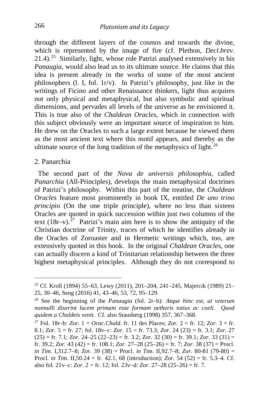through the different layers of the cosmos and towards the divine, which is represented by the image of fire (cf. Plethon, *Decl.brev.* 21.4).[25](#page-8-0) Similarly, light, whose role Patrizi analysed extensively in his *Panaugia*, would also lead us to its ultimate source. He claims that this idea is present already in the works of some of the most ancient philosophers (l. I, fol. 1r/v). In Patrizi's philosophy, just like in the writings of Ficino and other Renaissance thinkers, light thus acquires not only physical and metaphysical, but also symbolic and spiritual dimensions, and pervades all levels of the universe as he envisioned it. This is true also of the *Chaldean Oracles*, which in connection with this subject obviously were an important source of inspiration to him. He drew on the Oracles to such a large extent because he viewed them as the most ancient text where this motif appears, and thereby as the ultimate source of the long tradition of the metaphysics of light.<sup>[26](#page-8-1)</sup>

#### 2. Panarchia

 The second part of the *Nova de universis philosophia*, called *Panarchia* (All-Principles), develops the main metaphysical doctrines of Patrizi's philosophy. Within this part of the treatise, the *Chaldean Oracles* feature most prominently in book IX, entitled *De uno trino principio* (On the one triple principle), where no less than sixteen Oracles are quoted in quick succession within just two columns of the text  $(18r-v)$ .<sup>[27](#page-8-2)</sup> Patrizi's main aim here is to show the antiquity of the Christian doctrine of Trinity, traces of which he identifies already in the Oracles of Zoroaster and in Hermetic writings which, too, are extensively quoted in this book. In the original *Chaldean Oracles*, one can actually discern a kind of Trinitarian relationship between the three highest metaphysical principles. Although they do not correspond to

<span id="page-8-0"></span><sup>25</sup> Cf. Kroll (1894) 55–63, Lewy (2011), 201–204, 241–245, Majercik (1989) 21– 25, 30–46, Seng (2016) 41, 43–46, 53, 72, 95–129.

<span id="page-8-1"></span><sup>26</sup> See the beginning of the *Panaugia* (fol. 2r–b): *Atque hinc est, ut veterum nonnulli dixerint lucem primam esse formam aetheris totius ac coeli*. *Quod quidem a Chaldeis venit.* Cf. also Stausberg (1998) 357, 367–368.

<span id="page-8-2"></span><sup>27</sup> Fol. 18r–b: *Zor.* 1 = *Orac.Chald.* fr. 11 des Places; *Zor.* 2 = fr. 12; *Zor.* 3 = fr. 8.1; *Zor.* 5 = fr. 27; fol. 18v–c: *Zor.* 15 = fr. 73.3; *Zor.* 24 (23) = fr. 3.1; *Zor.* 27  $(25) =$  fr. 7.1; *Zor.* 24–25  $(22–23) =$  fr. 3.2; *Zor.* 32  $(30) =$  fr. 39.1; *Zor.* 33  $(31) =$ fr. 39.2; *Zor.* 43 (42) = fr. 108.1; *Zor.* 27–28 (25–26) = fr. 7; *Zor.* 38 (37) = Procl. *in Tim.* I,312.7–8; *Zor.* 39 (38) = Procl. *in Tim.* II,92.7–8; *Zor.* 80-81 (79-80) = Procl. *in Tim.* II,50.24 = fr. 42.1, 68 (introduction); *Zor.* 54 (52) = fr. 5.3–4. Cf. also fol. 21v–c: *Zor.* 2 = fr. 12; fol. 23v–d: *Zor.* 27–28 (25–26) = fr. 7.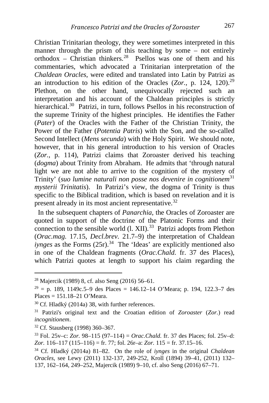Christian Trinitarian theology, they were sometimes interpreted in this manner through the prism of this teaching by some – not entirely orthodox – Christian thinkers.<sup>[28](#page-9-0)</sup> Psellos was one of them and his commentaries, which advocated a Trinitarian interpretation of the *Chaldean Oracles*, were edited and translated into Latin by Patrizi as an introduction to his edition of the Oracles  $(Zor, p. 124, 120).^{29}$  $(Zor, p. 124, 120).^{29}$  $(Zor, p. 124, 120).^{29}$ Plethon, on the other hand, unequivocally rejected such an interpretation and his account of the Chaldean principles is strictly hierarchical.<sup>30</sup> Patrizi, in turn, follows Psellos in his reconstruction of the supreme Trinity of the highest principles. He identifies the Father (*Pater*) of the Oracles with the Father of the Christian Trinity, the Power of the Father (*Potentia Patris*) with the Son, and the so-called Second Intellect (*Mens secunda*) with the Holy Spirit. We should note, however, that in his general introduction to his version of Oracles (*Zor.*, p. 114), Patrizi claims that Zoroaster derived his teaching (*dogma*) about Trinity from Abraham. He admits that 'through natural light we are not able to arrive to the cognition of the mystery of Trinity' (*suo lumine naturali non posse nos devenire in cognitionem*[31](#page-9-3) *mysterii Trinitatis*). In Patrizi's view, the dogma of Trinity is thus specific to the Biblical tradition, which is based on revelation and it is present already in its most ancient representative.<sup>[32](#page-9-4)</sup>

 In the subsequent chapters of *Panarchia*, the Oracles of Zoroaster are quoted in support of the doctrine of the Platonic Forms and their connection to the sensible world  $(1, XII)$ .<sup>33</sup> Patrizi adopts from Plethon (*Orac.mag.* 17.15, *Decl.brev.* 21.7–9) the interpretation of Chaldean *iynges* as the Forms  $(25r)$ .<sup>34</sup> The 'Ideas' are explicitly mentioned also in one of the Chaldean fragments (*Orac.Chald.* fr. 37 des Places), which Patrizi quotes at length to support his claim regarding the

<span id="page-9-0"></span><sup>28</sup> Majercik (1989) 8, cf. also Seng (2016) 56–61.

<span id="page-9-1"></span><sup>&</sup>lt;sup>29</sup> = p. 189, 1149c.5–9 des Places = 146.12–14 O'Meara; p. 194, 122.3–7 des Places = 151.18–21 O'Meara.

<span id="page-9-2"></span><sup>30</sup> Cf. Hladký (2014a) 38, with further references.

<span id="page-9-3"></span><sup>31</sup> Patrizi's original text and the Croatian edition of *Zoroaster* (*Zor.*) read *incognitionem*.

<span id="page-9-4"></span><sup>32</sup> Cf. Stausberg (1998) 360–367.

<span id="page-9-5"></span><sup>33</sup> Fol. 25v–c: *Zor.* 98–115 (97–114) = *Orac.Chald.* fr. 37 des Places; fol. 25v–d: *Zor.* 116–117 (115–116) = fr. 77; fol. 26r–a: *Zor.* 115 = fr. 37.15–16.

<span id="page-9-6"></span><sup>34</sup> Cf. Hladký (2014a) 81–82. On the role of *iynges* in the original *Chaldean Oracles*, see Lewy (2011) 132-137, 249-252, Kroll (1894) 39–41, (2011) 132– 137, 162–164, 249–252, Majercik (1989) 9–10, cf. also Seng (2016) 67–71.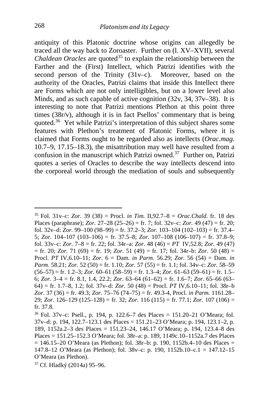antiquity of this Platonic doctrine whose origins can allegedly be traced all the way back to Zoroaster. Further on (l. XV–XVII), several *Chaldean Oracles* are quoted<sup>[35](#page-10-0)</sup> to explain the relationship between the Farther and the (First) Intellect, which Patrizi identifies with the second person of the Trinity (31v–c). Moreover, based on the authority of the Oracles, Patrizi claims that inside this Intellect there are Forms which are not only intelligibles, but on a lower level also Minds, and as such capable of active cognition  $(32v, 34, 37v-38)$ . It is interesting to note that Patrizi mentions Plethon at this point three times (38r/v), although it is in fact Psellos' commentary that is being quoted.[36](#page-10-1) Yet while Patrizi's interpretation of this subject shares some features with Plethon's treatment of Platonic Forms, where it is claimed that Forms ought to be regarded also as intellects (*Orac.mag.*  10.7–9, 17.15–18.3), the misattribution may well have resulted from a confusion in the manuscript which Patrizi owned.<sup>37</sup> Further on, Patrizi quotes a series of Oracles to describe the way intellects descend into the corporeal world through the mediation of souls and subsequently

i,

<span id="page-10-0"></span><sup>35</sup> Fol. 31v–c: *Zor.* 39 (38) = Procl. *in Tim.* II,92.7–8 = *Orac.Chald.* fr. 18 des Places (paraphrase); *Zor.* 27–28 (25–26) = fr. 7; fol. 32v–c: *Zor.* 49 (47) = fr. 20; fol. 32v–d: *Zor.* 99–100 (98–99) = fr. 37.2–3; *Zor.* 103–104 (102–103) = fr. 37.4– 5; *Zor.* 104–107 (103–106) = fr. 37.5–8; *Zor.* 107–108 (106–107) = fr. 37.8–9; fol. 33v–c: *Zor.* 7–8 = fr. 22; fol. 34r–a: *Zor.* 48 (46) = *PT* IV,52.8; *Zor.* 49 (47) = fr. 20; *Zor.* 71 (69) = fr. 19; *Zor.* 51 (49) = fr. 17; fol. 34r–b: *Zor.* 50 (48) = Procl. *PT* IV,6.10–11; *Zor.* 6 = Dam. *in Parm.* 56.29; *Zor.* 56 (54) = Dam. *in Parm.* 58.21; *Zor.* 52 (50) = fr. 1.10; *Zor.* 57 (55) = fr. 1.1; fol. 34v–c: *Zor.* 58–59  $(56–57)$  = fr. 1.2–3; *Zor.* 60–61 (58–59) = fr. 1.3–4; *Zor.* 61–63 (59–61) = fr. 1.5– 6; *Zor.* 3–4 = fr. 8.1, 1.4, 22.2; *Zor.* 63–64 (61–62) = fr. 1.6–7; *Zor.* 65–66 (63– 64) = fr. 1.7–8, 1.2; fol. 37v–d: *Zor.* 50 (48) = Procl. *PT* IV,6.10–11; fol. 38r–b *Zor.* 37 (36) = fr. 49.3; *Zor.* 75–76 (74–75) = fr. 49.3-4, Procl. *in Parm.* 1161.28– 29; *Zor.* 126–129 (125–128) = fr. 32; *Zor.* 116 (115) = fr. 77.1; *Zor.* 107 (106) = fr. 37.8.

<span id="page-10-1"></span><sup>36</sup> Fol. 37v–c: Psell., p. 194, p. 122.6–7 des Places = 151.20–21 O'Meara; fol. 37v–d: p. 194, 122.7–123.1 des Places = 151.21–23 O'Meara; p. 194, 123.1–2, p. 189, 1152a.2–3 des Places = 151.23–24, 146.17 O'Meara; p. 194, 123.4–8 des Places = 151.25–152.3 O'Meara; fol. 38r–a: p. 189, 1149c.10–1152a.7 des Places  $= 146.15 - 20$  O'Meara (as Plethon); fol. 38r–b: p. 190, 1152b.4–10 des Places  $=$ 147.8–12 O'Meara (as Plethon); fol. 38v–c: p. 190, 1152b.10–c.1 = 147.12–15 O'Meara (as Plethon).

<span id="page-10-2"></span><sup>37</sup> Cf. Hladký (2014a) 95–96.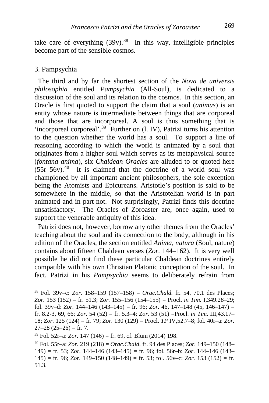take care of everything  $(39v)$ .<sup>38</sup> In this way, intelligible principles become part of the sensible cosmos.

#### 3. Pampsychia

 The third and by far the shortest section of the *Nova de universis philosophia* entitled *Pampsychia* (All-Soul), is dedicated to a discussion of the soul and its relation to the cosmos. In this section, an Oracle is first quoted to support the claim that a soul (*animus*) is an entity whose nature is intermediate between things that are corporeal and those that are incorporeal. A soul is thus something that is 'incorporeal corporeal'.[39](#page-11-1) Further on (l. IV), Patrizi turns his attention to the question whether the world has a soul. To support a line of reasoning according to which the world is animated by a soul that originates from a higher soul which serves as its metaphysical source (*fontana anima*), six *Chaldean Oracles* are alluded to or quoted here  $(55r-56v).$ <sup>40</sup> It is claimed that the doctrine of a world soul was championed by all important ancient philosophers, the sole exception being the Atomists and Epicureans. Aristotle's position is said to be somewhere in the middle, so that the Aristotelian world is in part animated and in part not. Not surprisingly, Patrizi finds this doctrine unsatisfactory. The Oracles of Zoroaster are, once again, used to support the venerable antiquity of this idea.

 Patrizi does not, however, borrow any other themes from the Oracles' teaching about the soul and its connection to the body, although in his edition of the Oracles, the section entitled *Anima, natura* (Soul, nature) contains about fifteen Chaldean verses (*Zor.* 144–162). It is very well possible he did not find these particular Chaldean doctrines entirely compatible with his own Christian Platonic conception of the soul. In fact, Patrizi in his *Pampsychia* seems to deliberately refrain from

<span id="page-11-0"></span><sup>38</sup> Fol. 39v–c: *Zor.* 158–159 (157–158) = *Orac.Chald.* fr*.* 54, 70.1 des Places; *Zor.* 153 (152) = fr. 51.3; *Zor.* 155–156 (154–155) = Procl. *in Tim.* I,349.28–29; fol. 39v–d: *Zor.* 144–146 (143–145) = fr. 96; *Zor.* 46, 147–148 (45, 146–147) = fr. 8.2-3, 69, 66; *Zor.* 54 (52) = fr. 5.3–4; *Zor.* 53 (51) =Procl. *in Tim*. III,43.17– 18; *Zor.* 125 (124) = fr. 79; *Zor.* 130 (129) = Procl. *TP* IV,52.7–8; fol. 40r–a: *Zor.*   $27-28$  (25-26) = fr. 7.

<span id="page-11-1"></span><sup>39</sup> Fol. 52r–a: *Zor.* 147 (146) = fr. 69, cf. Blum (2014) 198.

<span id="page-11-2"></span><sup>40</sup> Fol. 55r–a: *Zor.* 219 (218) = *Orac.Chald.* fr. 94 des Places; *Zor.* 149–150 (148– 149) = fr. 53; *Zor.* 144–146 (143–145) = fr. 96; fol. 56r–b: *Zor*. 144–146 (143– 145) = fr. 96; *Zor.* 149–150 (148–149) = fr. 53; fol. 56v–c: *Zor.* 153 (152) = fr. 51.3.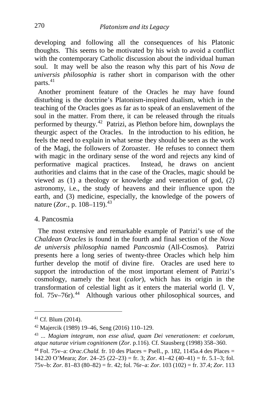developing and following all the consequences of his Platonic thoughts. This seems to be motivated by his wish to avoid a conflict with the contemporary Catholic discussion about the individual human soul. It may well be also the reason why this part of his *Nova de universis philosophia* is rather short in comparison with the other parts.<sup>[41](#page-12-0)</sup>

 Another prominent feature of the Oracles he may have found disturbing is the doctrine's Platonism-inspired dualism, which in the teaching of the Oracles goes as far as to speak of an enslavement of the soul in the matter. From there, it can be released through the rituals performed by theurgy.[42](#page-12-1) Patrizi, as Plethon before him, downplays the theurgic aspect of the Oracles. In the introduction to his edition, he feels the need to explain in what sense they should be seen as the work of the Magi, the followers of Zoroaster. He refuses to connect them with magic in the ordinary sense of the word and rejects any kind of performative magical practices. Instead, he draws on ancient authorities and claims that in the case of the Oracles, magic should be viewed as (1) a theology or knowledge and veneration of god, (2) astronomy, i.e., the study of heavens and their influence upon the earth, and (3) medicine, especially, the knowledge of the powers of nature (*Zor.*, p. 108–119).<sup>[43](#page-12-2)</sup>

#### 4. Pancosmia

 The most extensive and remarkable example of Patrizi's use of the *Chaldean Oracles* is found in the fourth and final section of the *Nova de universis philosophia* named *Pancosmia* (All-Cosmos). Patrizi presents here a long series of twenty-three Oracles which help him further develop the motif of divine fire. Oracles are used here to support the introduction of the most important element of Patrizi's cosmology, namely the heat (*calor*), which has its origin in the transformation of celestial light as it enters the material world (l. V, fol.  $75v-76r$ .<sup>44</sup> Although various other philosophical sources, and

<span id="page-12-0"></span><sup>41</sup> Cf. Blum (2014).

<span id="page-12-1"></span><sup>42</sup> Majercik (1989) 19–46, Seng (2016) 110–129.

<span id="page-12-2"></span><sup>43</sup> *... Magiam integram, non esse aliud, quam Dei venerationem: et coelorum, atque naturae virium cognitionem* (*Zor*. p.116)*.* Cf. Stausberg (1998) 358–360.

<span id="page-12-3"></span><sup>&</sup>lt;sup>44</sup> Fol. 75v–a: *Orac.Chald.* fr. 10 des Places = Psell., p. 182, 1145a.4 des Places = 142.20 O'Meara; *Zor.* 24–25 (22–23) = fr. 3; *Zor.* 41–42 (40–41) = fr. 5.1–3; fol. 75v–b: *Zor.* 81–83 (80–82) = fr. 42; fol. 76r–a: *Zor.* 103 (102) = fr. 37.4; *Zor.* 113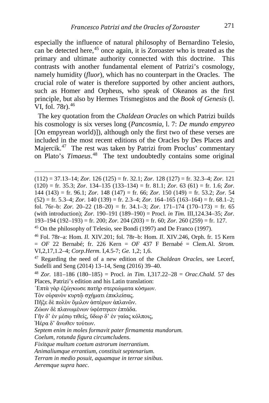especially the influence of natural philosophy of Bernardino Telesio, can be detected here,<sup>[45](#page-13-0)</sup> once again, it is Zoroaster who is treated as the primary and ultimate authority connected with this doctrine. This contrasts with another fundamental element of Patrizi's cosmology, namely humidity (*fluor*), which has no counterpart in the Oracles. The crucial role of water is therefore supported by other ancient authors, such as Homer and Orpheus, who speak of Okeanos as the first principle, but also by Hermes Trismegistos and the *Book of Genesis* (l. VI, fol.  $78r$ ).  $46$ 

 The key quotation from the *Chaldean Oracles* on which Patrizi builds his cosmology is six verses long (*Pancosmia*, l. 7: *De mundo empyreo* [On empyrean world]]), although only the first two of these verses are included in the most recent editions of the Oracles by Des Places and Majercik.<sup>[47](#page-13-2)</sup> The rest was taken by Patrizi from Proclus' commentary on Plato's *Timaeus*. [48](#page-13-3) The text undoubtedly contains some original

Ἠέρα δ' ἄνωθεν τούτων.

(112) = 37.13–14; *Zor.* 126 (125) = fr. 32.1; *Zor.* 128 (127) = fr. 32.3–4; *Zor.* <sup>121</sup>  $(120)$  = fr. 35.3; *Zor.* 134–135 (133–134) = fr. 81.1; *Zor.* 63 (61) = fr. 1.6; *Zor.* 144 (143) = fr. 96.1; *Zor.* 148 (147) = fr. 66; *Zor.* 150 (149) = fr. 53.2; *Zor.* 54  $(52) =$  fr. 5.3–4; *Zor.* 140 (139) = fr. 2.3–4; *Zor.* 164–165 (163–164) = fr. 68.1–2; fol. 76r–b: *Zor.* 20–22 (18–20) = fr. 34.1–3; *Zor.* 171–174 (170–173) = fr. 65 (with introduction); *Zor.* 190–191 (189–190) = Procl. *in Tim.* III,124.34–35; *Zor.*  193–194 (192–193) = fr. 200; *Zor.* 204 (203) = fr. 60; *Zor.* 260 (259) = fr. 127.

<span id="page-13-0"></span><sup>45</sup> On the philosophy of Telesio, see Bondì (1997) and De Franco (1997).

<span id="page-13-1"></span><sup>46</sup> Fol. 78r–a: Hom. *Il.* XIV.201; fol. 78r–b: Hom. *Il*. XIV.246, Orph. fr. 15 Kern = *OF* 22 Bernabé; fr. 226 Kern = *OF* 437 F Bernabé = Clem.Al. *Strom.*  VI,2,17,1.2–4; *Corp.Herm.* I,4.5-7; *Ge.* 1,2; 1,6.

<span id="page-13-2"></span><sup>47</sup> Regarding the need of a new edition of the *Chaldean Oracles*, see Lecerf, Sudelli and Seng (2014) 13–14, Seng (2016) 39–40.

<span id="page-13-3"></span><sup>48</sup> *Zor.* 181–186 (180–185) = Procl. *in Tim.* I,317.22–28 = *Orac.Chald.* 57 des Places, Patrizi's edition and his Latin translation:

<sup>῾</sup>Επτὰ γὰρ ἐξώγκωσε πατὴρ στερεώματα κόσμων.

Τὸν οὐρανὸν κυρτῷ σχήματι ἐπικλείσας.

Πῆξε δὲ πολὺν ὅμιλον ἀστέρων ἀπλανῶν.

Ζώων δὲ πλανωμένων ὑφέστηκεν ἑπτάδα.

Γῆν δ' ἐν μέσῳ τιθείς, ὕδωρ δ' ἐν γαίας κόλποις,

*Septem enim in moles formavit pater firmamenta mundorum.*

*Coelum, rotunda figura circumcludens.*

*Fixitque multum coetum astrorum inerrantium.*

*Animaliumque errantium, constituit septenarium.*

*Terram in medio posuit, aquamque in terrae sinibus.*

*Aeremque supra haec*.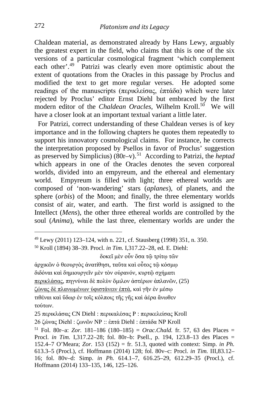Chaldean material, as demonstrated already by Hans Lewy, arguably the greatest expert in the field, who claims that this is one of the six versions of a particular cosmological fragment 'which complement each other'.<sup>[49](#page-14-0)</sup> Patrizi was clearly even more optimistic about the extent of quotations from the Oracles in this passage by Proclus and modified the text to get more regular verses. He adopted some readings of the manuscripts (περικλείσας, ἑπτάδα) which were later rejected by Proclus' editor Ernst Diehl but embraced by the first modern editor of the *Chaldean Oracles*, Wilhelm Kroll.<sup>50</sup> We will have a closer look at an important textual variant a little later.

 For Patrizi, correct understanding of these Chaldean verses is of key importance and in the following chapters he quotes them repeatedly to support his innovatory cosmological claims. For instance, he corrects the interpretation proposed by Psellos in favor of Proclus' suggestion as preserved by Simplicius) (80r–v).[51](#page-14-2) According to Patrizi, the *heptad* which appears in one of the Oracles denotes the seven corporeal worlds, divided into an empyreum, and the ethereal and elementary world. Empyreum is filled with light; three ethereal worlds are composed of 'non-wandering' stars (*aplanes*), of planets, and the sphere (*orbis*) of the Moon; and finally, the three elementary worlds consist of air, water, and earth. The first world is assigned to the Intellect (*Mens*), the other three ethereal worlds are controlled by the soul (*Anima*), while the last three, elementary worlds are under the

ἀρχικῶν ὁ θεουργὸς ἀνατίθησι, ταῦτα καὶ οὗτος τῷ κόσμῳ διδόναι καὶ δημιουργεῖν μὲν τὸν οὐρανόν, κυρτῷ σχήματι περικλάσας, πηγνύναι δὲ πολὺν ὅμιλον ἀστέρων ἀπλανῶν, (25) ζώνας δὲ πλανωμένων ὑφιστάνειν ἑπτά, καὶ γῆν ἐν μέσῳ τιθέναι καὶ ὕδωρ ἐν τοῖς κόλποις τῆς γῆς καὶ ἀέρα ἄνωθεν

τούτων.

25 περικλάσας CN Diehl : περικαλέσας P : περικελείσας Kroll

26 ζώνας Diehl : ζωνῶν NP :: ἑπτά Diehl : ἑπτάδα NP Kroll

<span id="page-14-0"></span><sup>49</sup> Lewy (2011) 123–124, with n. 221, cf. Stausberg (1998) 351, n. 350.

<span id="page-14-1"></span><sup>50</sup> Kroll (1894) 38–39. Procl. *in Tim.* I,317.22–28, ed. E. Diehl:

δοκεῖ μὲν οὖν ὅσα τῷ τρίτῳ τῶν

<span id="page-14-2"></span><sup>51</sup> Fol. 80r–a: *Zor.* 181–186 (180–185) = *Orac.Chald.* fr. 57, 63 des Places = Procl. *in Tim.* I,317.22–28; fol. 80r–b: Psell., p. 194, 123.8–13 des Places = 152.4–7 O'Meara; *Zor.* 153 (152) = fr. 51.3, quoted with context: Simp. *in Ph.*  613.3–5 (Procl.), cf. Hoffmann (2014) 128; fol. 80v–c: Procl. *in Tim.* III,83.12– 16; fol. 80v–d: Simp. *in Ph.* 614.1–7, 616.25–29, 612.29–35 (Procl.), cf. Hoffmann (2014) 133–135, 146, 125–126.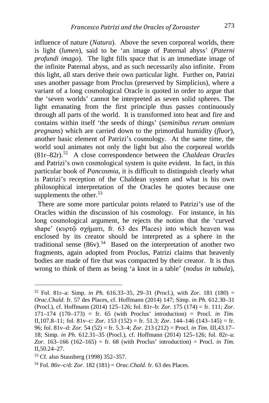influence of nature (*Natura*). Above the seven corporeal worlds, there is light (*lumen*), said to be 'an image of Paternal abyss' (*Paterni profundi imago*). The light fills space that is an immediate image of the infinite Paternal abyss, and as such necessarily also infinite. From this light, all stars derive their own particular light. Further on, Patrizi uses another passage from Proclus (preserved by Simplicius), where a variant of a long cosmological Oracle is quoted in order to argue that the 'seven worlds' cannot be interpreted as seven solid spheres. The light emanating from the first principle thus passes continuously through all parts of the world. It is transformed into heat and fire and contains within itself 'the seeds of things' (*seminibus rerum omnium pregnans*) which are carried down to the primordial humidity (*fluor*), another basic element of Patrizi's cosmology. At the same time, the world soul animates not only the light but also the corporeal worlds (81r–82r).[52](#page-15-0) A close correspondence between the *Chaldean Oracles* and Patrizi's own cosmological system is quite evident. In fact, in this particular book of *Pancosmia*, it is difficult to distinguish clearly what is Patrizi's reception of the Chaldean system and what is his own philosophical interpretation of the Oracles he quotes because one supplements the other. $53$ 

 There are some more particular points related to Patrizi's use of the Oracles within the discussion of his cosmology. For instance, in his long cosmological argument, he rejects the notion that the 'curved shape' (κυρτῷ σχήματι, fr. 63 des Places) into which heaven was enclosed by its creator should be interpreted as a sphere in the traditional sense  $(86v)$ .<sup>54</sup> Based on the interpretation of another two fragments, again adopted from Proclus, Patrizi claims that heavenly bodies are made of fire that was compacted by their creator. It is thus wrong to think of them as being 'a knot in a table' (*nodus in tabula*),

<span id="page-15-0"></span><sup>52</sup> Fol. 81r–a: Simp. *in Ph.* 616.33–35, 29–31 (Procl.), with *Zor.* 181 (180) = *Orac.Chald.* fr. 57 des Places, cf. Hoffmann (2014) 147; Simp. *in Ph.* 612.30–31 (Procl.), cf. Hoffmann (2014) 125–126; fol. 81r–b: *Zor.* 175 (174) = fr. 111; *Zor.*  171–174 (170–173) = fr. 65 (with Proclus' introduction) = Procl. *in Tim.*  II,107.8–11; fol. 81v–c: *Zor.* 153 (152) = fr. 51.3; *Zor.* 144–146 (143–145) = fr. 96; fol. 81v–d: *Zor.* 54 (52) = fr. 5.3–4; *Zor.* 213 (212) = Procl. *in Tim.* III,43.17– 18; Simp. *in Ph.* 612.31–35 (Procl.), cf. Hoffmann (2014) 125–126; fol. 82r–a: *Zor.* 163–166 (162–165) = fr. 68 (with Proclus' introduction) = Procl. *in Tim.*  II,50.24–27.

<span id="page-15-1"></span><sup>53</sup> Cf. also Stausberg (1998) 352–357.

<span id="page-15-2"></span><sup>54</sup> Fol. 86v–c/d: *Zor.* 182 (181) = *Orac.Chald.* fr. 63 des Places.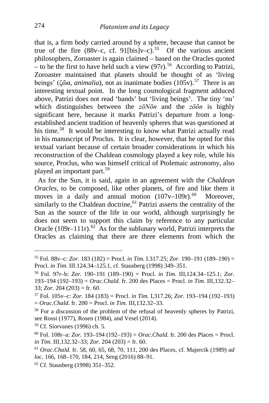that is, a firm body carried around by a sphere, because that cannot be true of the fire  $(88v-c, cf. 91[bis]v-c)<sup>55</sup>$  Of the various ancient philosophers, Zoroaster is again claimed – based on the Oracles quoted – to be the first to have held such a view (97r).<sup>56</sup> According to Patrizi, Zoroaster maintained that planets should be thought of as 'living beings' (ζῶα, *animalia*), not as inanimate bodies (105v).<sup>[57](#page-16-2)</sup> There is an interesting textual point. In the long cosmological fragment adduced above, Patrizi does not read 'bands' but 'living beings'. The tiny 'nu' which distinguishes between the *zōNōn* and the *zōōn* is highly significant here, because it marks Patrizi's departure from a longestablished ancient tradition of heavenly spheres that was questioned at his time.<sup>[58](#page-16-3)</sup> It would be interesting to know what Patrizi actually read in his manuscript of Proclus. It is clear, however, that he opted for this textual variant because of certain broader considerations in which his reconstruction of the Chaldean cosmology played a key role, while his source, Proclus, who was himself critical of Ptolemaic astronomy, also played an important part.[59](#page-16-4)

 As for the Sun, it is said, again in an agreement with the *Chaldean Oracles*, to be composed, like other planets, of fire and like them it moves in a daily and annual motion  $(107v-109r)$ .<sup>60</sup> Moreover, similarly to the Chaldean doctrine,  $61$  Patrizi asserts the centrality of the Sun as the source of the life in our world, although surprisingly he does not seem to support this claim by reference to any particular Oracle (109r–111r).<sup>62</sup> As for the sublunary world, Patrizi interprets the Oracles as claiming that there are three elements from which the

<span id="page-16-0"></span><sup>55</sup> Fol. 88v–c: *Zor.* 183 (182) = Procl. *in Tim.* I.317.25; *Zor.* 190–191 (189–190) =

<span id="page-16-1"></span>Procl. *in Tim.* III.124.34–125.1, cf. Stausberg (1998) 349–351. 56 Fol. 97r–b: *Zor.* 190–191 (189–190) = Procl. *in Tim.* III,124.34–125.1; *Zor.*  193–194 (192–193) = *Orac.Chald.* fr. 200 des Places = Procl. *in Tim.* III,132.32– 33; *Zor.* 204 (203) = fr. 60.

<span id="page-16-2"></span><sup>57</sup> Fol. 105v–c: *Zor.* 184 (183) = Procl. *in Tim.* I,317.26; *Zor.* 193–194 (192–193) = *Orac.Chald.* fr. 200 = Procl. *in Tim.* III,132.32–33.

<span id="page-16-3"></span><sup>&</sup>lt;sup>58</sup> For a discussion of the problem of the refusal of heavenly spheres by Patrizi, see Rossi (1977), Rosen (1984), and Vesel (2014).

<span id="page-16-4"></span><sup>59</sup> Cf. Siorvanes (1996) ch. 5.

<span id="page-16-5"></span><sup>60</sup> Fol. 108r–a: *Zor.* 193–194 (192–193) = *Orac.Chald.* fr. 200 des Places = Procl. *in Tim.* III,132.32–33; *Zor.* 204 (203) = fr. 60.

<span id="page-16-6"></span><sup>61</sup> *Orac.Chald.* fr. 58, 60, 65, 68, 70, 111, 200 des Places, cf. Majercik (1989) *ad loc.* 166, 168–170, 184, 214, Seng (2016) 88–91.

<span id="page-16-7"></span><sup>62</sup> Cf. Stausberg (1998) 351–352.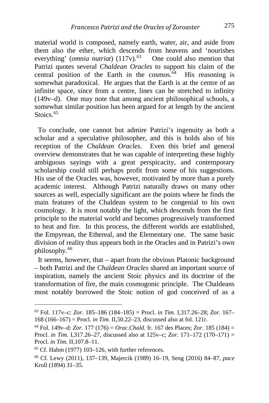material world is composed, namely earth, water, air, and aside from them also the ether, which descends from heavens and 'nourishes everything' (*omnia nutriat*) (117v).<sup>[63](#page-17-0)</sup> One could also mention that Patrizi quotes several *Chaldean Oracles* to support his claim of the central position of the Earth in the cosmos. $64$  His reasoning is somewhat paradoxical. He argues that the Earth is at the centre of an infinite space, since from a centre, lines can be stretched to infinity (149v–d). One may note that among ancient philosophical schools, a somewhat similar position has been argued for at length by the ancient Stoics.<sup>[65](#page-17-2)</sup>

 To conclude, one cannot but admire Patrizi's ingenuity as both a scholar and a speculative philosopher, and this is holds also of his reception of the *Chaldean Oracles*. Even this brief and general overview demonstrates that he was capable of interpreting these highly ambiguous sayings with a great perspicacity, and contemporary scholarship could still perhaps profit from some of his suggestions. His use of the Oracles was, however, motivated by more than a purely academic interest. Although Patrizi naturally draws on many other sources as well, especially significant are the points where he finds the main features of the Chaldean system to be congenial to his own cosmology. It is most notably the light, which descends from the first principle to the material world and becomes progressively transformed to heat and fire. In this process, the different worlds are established, the Empyrean, the Ethereal, and the Elementary one. The same basic division of reality thus appears both in the Oracles and in Patrizi's own philosophy.[66](#page-17-3)

 It seems, however, that – apart from the obvious Platonic background – both Patrizi and the *Chaldean Oracles* shared an important source of inspiration, namely the ancient Stoic physics and its doctrine of the transformation of fire, the main cosmogonic principle. The Chaldeans most notably borrowed the Stoic notion of god conceived of as a

i,

<span id="page-17-0"></span><sup>63</sup> Fol. 117v–c: *Zor.* 185–186 (184–185) = Procl. *in Tim.* I,317.26–28; *Zor.* 167– 168 (166–167) = Procl. *in Tim.* II,50.22–23, discussed also at fol. 121r.

<span id="page-17-1"></span> $^{64}$  Fol. 149v–d: *Zor.* 177 (176) = *Orac. Chald.* fr. 167 des Places; *Zor.* 185 (184) = Procl. *in Tim.* I,317.26–27, discussed also at 125v–c; *Zor.* 171–172 (170–171) = Procl. *in Tim.* II,107.8–11.

<span id="page-17-2"></span> $65$  Cf. Hahm (1977) 103–126, with further references.

<span id="page-17-3"></span><sup>66</sup> Cf. Lewy (2011), 137–139, Majercik (1989) 16–19, Seng (2016) 84–87, *pace*  Kroll (1894) 31–35.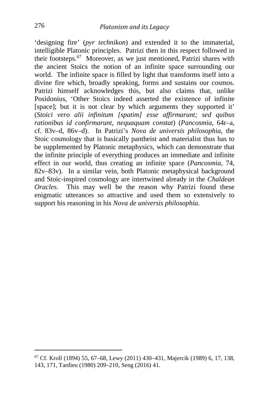'designing fire' (*pyr technikon*) and extended it to the immaterial, intelligible Platonic principles. Patrizi then in this respect followed in their footsteps.[67](#page-18-0) Moreover, as we just mentioned, Patrizi shares with the ancient Stoics the notion of an infinite space surrounding our world. The infinite space is filled by light that transforms itself into a divine fire which, broadly speaking, forms and sustains our cosmos. Patrizi himself acknowledges this, but also claims that, unlike Posidonius, 'Other Stoics indeed asserted the existence of infinite [space]; but it is not clear by which arguments they supported it' (*Stoici vero alii infinitum [spatim] esse affirmarunt; sed quibus rationibus id confirmarunt, nequaquam constat*) (*Pancosmia*, 64r–a, cf. 83v–d, 86v–d). In Patrizi's *Nova de universis philosophia*, the Stoic cosmology that is basically pantheist and materialist thus has to be supplemented by Platonic metaphysics, which can demonstrate that the infinite principle of everything produces an immediate and infinite effect in our world, thus creating an infinite space (*Pancosmia*, 74, 82v–83v). In a similar vein, both Platonic metaphysical background and Stoic-inspired cosmology are intertwined already in the *Chaldean Oracles*. This may well be the reason why Patrizi found these enigmatic utterances so attractive and used them so extensively to support his reasoning in his *Nova de universis philosophia*.

<span id="page-18-0"></span>i, <sup>67</sup> Cf. Kroll (1894) 55, 67–68, Lewy (2011) 430–431, Majercik (1989) 6, 17, 138, 143, 171, Tardieu (1980) 209–210, Seng (2016) 41.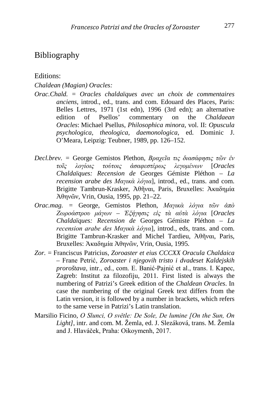### Bibliography

Editions:

#### *Chaldean (Magian) Oracles:*

- *Orac.Chald.* = *Oracles chaldaïques avec un choix de commentaires anciens*, introd., ed., trans. and com. Edouard des Places, Paris: Belles Lettres, 1971 (1st edn), 1996 (3rd edn); an alternative edition of Psellos' commentary on the *Chaldaean* edition of Psellos' commentary on the *Chaldaean Oracles*: Michael Psellus, *Philosophica minora*, vol. II: *Opuscula psychologica, theologica, daemonologica*, ed. Dominic J. O'Meara, Leipzig: Teubner, 1989, pp. 126–152.
- *Decl.brev. =* George Gemistos Plethon, *Βραχεῖα τις διασάφησις τῶν ἐν τοῖς λογίοις τούτοις ἀσαφεστέρως λεγομένων* [*Oracles Chaldaïques: Recension de* Georges Gémiste Pléthon – *La recension arabe des Μαγικὰ λόγια*], introd., ed., trans. and com. Brigitte Tambrun-Krasker, Ἀθῆναι, Paris, Bruxelles: Ἀκαδημία Ἀθηνῶν, Vrin, Ousia, 1995, pp. 21–22.
- *Orac.mag. =* George, Gemistos Plethon, *Μαγικὰ λόγια τῶν ἀπὸ Ζωροάστρου μάγων – Ἐξήγησις εἰς τὰ αὐτὰ λόγια* [*Oracles Chaldaïques: Recension de* Georges Gémiste Pléthon – *La recension arabe des Μαγικὰ λόγια*], introd., eds, trans. and com. Brigitte Tambrun-Krasker and Michel Tardieu, Ἀθῆναι, Paris, Bruxelles: Ἀκαδημία Ἀθηνῶν, Vrin, Ousia, 1995.
- *Zor.* = Franciscus Patricius, *Zoroaster et eius CCCXX Oracula Chaldaica –* Frane Petrić, *Zoroaster i njegovih tristo i dvadeset Kaldejskih proroštava*, intr., ed., com. E. Banić-Pajnić et al., trans. I. Kapec, Zagreb: Institut za filozofiju, 2011. First listed is always the numbering of Patrizi's Greek edition of the *Chaldean Oracles*. In case the numbering of the original Greek text differs from the Latin version, it is followed by a number in brackets, which refers to the same verse in Patrizi's Latin translation.
- Marsilio Ficino, *O Slunci, O světle: De Sole, De lumine [On the Sun, On Light]*, intr. and com. M. Žemla, ed. J. Slezáková, trans. M. Žemla and J. Hlaváček, Praha: Oikoymenh, 2017.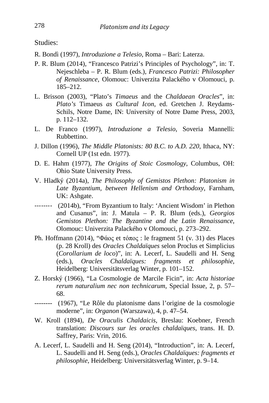Studies:

- R. Bondì (1997), *Introduzione a Telesio*, Roma *–* Bari: Laterza.
- P. R. Blum (2014), "Francesco Patrizi's Principles of Psychology", in: T. Nejeschleba – P. R. Blum (eds.), *Francesco Patrizi: Philosopher of Renaissance*, Olomouc: Univerzita Palackého v Olomouci, p. 185–212.
- L. Brisson (2003), "Plato's *Timaeus* and the *Chaldaean Oracles*", in: *Plato's* Timaeus *as Cultural Icon*, ed. Gretchen J. Reydams-Schils, Notre Dame, IN: University of Notre Dame Press, 2003, p. 112–132.
- L. De Franco (1997), *Introduzione a Telesio*, Soveria Mannelli: Rubbettino.
- J. Dillon (1996), *The Middle Platonists: 80 B.C. to A.D. 220*, Ithaca, NY: Cornell UP (1st edn. 1977).
- D. E. Hahm (1977), *The Origins of Stoic Cosmology*, Columbus, OH: Ohio State University Press.
- V. Hladký (2014a), *The Philosophy of Gemistos Plethon: Platonism in Late Byzantium, between Hellenism and Orthodoxy*, Farnham, UK: Ashgate.
- -------- (2014b), "From Byzantium to Italy: 'Ancient Wisdom' in Plethon and Cusanus", in: J. Matula – P. R. Blum (eds.), *Georgios Gemistos Plethon: The Byzantine and the Latin Renaissance*, Olomouc: Univerzita Palackého v Olomouci, p. 273–292.
- Ph. Hoffmann (2014), "Φάος et τόπος : le fragment 51 (v. 31) des Places (p. 28 Kroll) des *Oracles Chaldaïques* selon Proclus et Simplicius (*Corollarium de loco*)", in: A. Lecerf, L. Saudelli and H. Seng (eds.), *Oracles Chaldaïques: fragments et philosophie*, Heidelberg: Universitätsverlag Winter, p. 101–152.
- Z. Horský (1966), "La Cosmologie de Marcile Ficin", in: *Acta historiae rerum naturalium nec non technicarum*, Special Issue, 2, p. 57– 68.
- -------- (1967), "Le Rôle du platonisme dans l'origine de la cosmologie moderne", in: *Organon* (Warszawa), 4, p. 47–54.
- W. Kroll (1894), *De Oraculis Chaldaicis*, Breslau: Koebner, French translation: *Discours sur les oracles chaldaïques*, trans. H. D. Saffrey, Paris: Vrin, 2016.
- A. Lecerf, L. Saudelli and H. Seng (2014), "Introduction", in: A. Lecerf, L. Saudelli and H. Seng (eds.), *Oracles Chaldaïques: fragments et philosophie*, Heidelberg: Universitätsverlag Winter, p. 9–14.